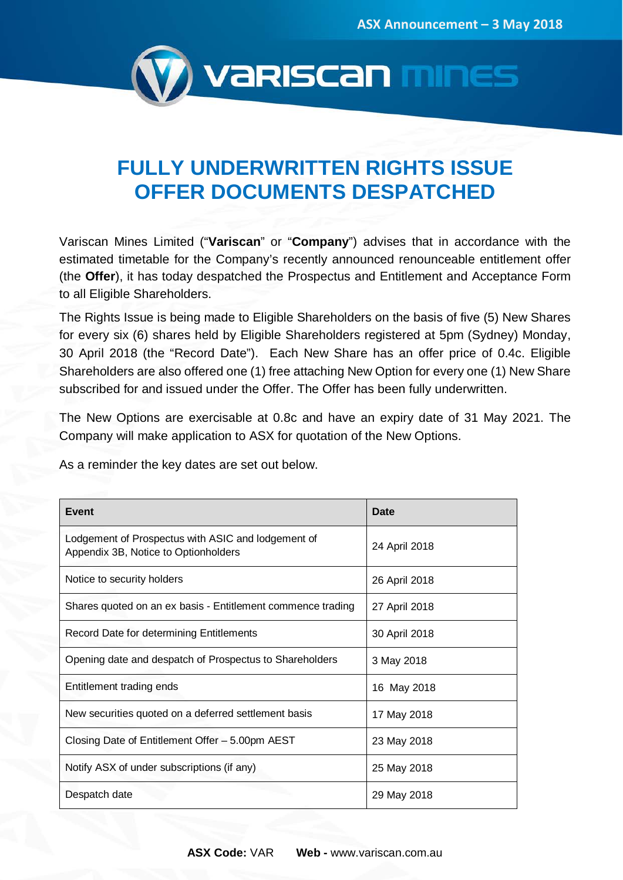

## **FULLY UNDERWRITTEN RIGHTS ISSUE OFFER DOCUMENTS DESPATCHED**

Variscan Mines Limited ("**Variscan**" or "**Company**") advises that in accordance with the estimated timetable for the Company's recently announced renounceable entitlement offer (the **Offer**), it has today despatched the Prospectus and Entitlement and Acceptance Form to all Eligible Shareholders.

The Rights Issue is being made to Eligible Shareholders on the basis of five (5) New Shares for every six (6) shares held by Eligible Shareholders registered at 5pm (Sydney) Monday, 30 April 2018 (the "Record Date"). Each New Share has an offer price of 0.4c. Eligible Shareholders are also offered one (1) free attaching New Option for every one (1) New Share subscribed for and issued under the Offer. The Offer has been fully underwritten.

The New Options are exercisable at 0.8c and have an expiry date of 31 May 2021. The Company will make application to ASX for quotation of the New Options.

As a reminder the key dates are set out below.

| <b>Event</b>                                                                               | Date          |
|--------------------------------------------------------------------------------------------|---------------|
| Lodgement of Prospectus with ASIC and lodgement of<br>Appendix 3B, Notice to Optionholders | 24 April 2018 |
| Notice to security holders                                                                 | 26 April 2018 |
| Shares quoted on an ex basis - Entitlement commence trading                                | 27 April 2018 |
| Record Date for determining Entitlements                                                   | 30 April 2018 |
| Opening date and despatch of Prospectus to Shareholders                                    | 3 May 2018    |
| Entitlement trading ends                                                                   | 16 May 2018   |
| New securities quoted on a deferred settlement basis                                       | 17 May 2018   |
| Closing Date of Entitlement Offer - 5.00pm AEST                                            | 23 May 2018   |
| Notify ASX of under subscriptions (if any)                                                 | 25 May 2018   |
| Despatch date                                                                              | 29 May 2018   |